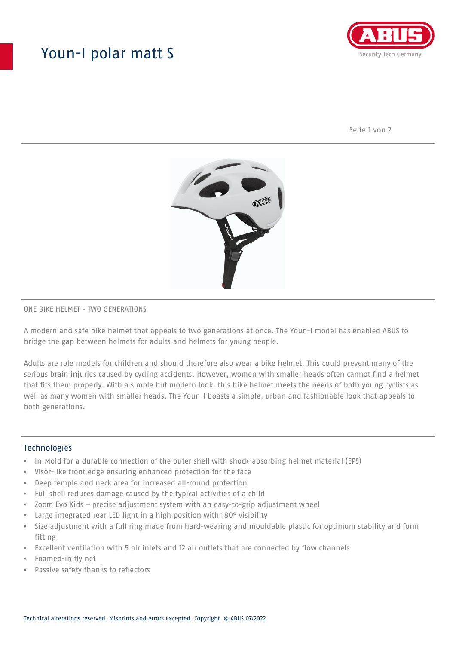## Youn-I polar matt S



Seite 1 von 2



### ONE BIKE HELMET - TWO GENERATIONS

A modern and safe bike helmet that appeals to two generations at once. The Youn-I model has enabled ABUS to bridge the gap between helmets for adults and helmets for young people.

Adults are role models for children and should therefore also wear a bike helmet. This could prevent many of the serious brain injuries caused by cycling accidents. However, women with smaller heads often cannot find a helmet that fits them properly. With a simple but modern look, this bike helmet meets the needs of both young cyclists as well as many women with smaller heads. The Youn-I boasts a simple, urban and fashionable look that appeals to both generations.

### **Technologies**

- In-Mold for a durable connection of the outer shell with shock-absorbing helmet material (EPS)
- Visor-like front edge ensuring enhanced protection for the face
- Deep temple and neck area for increased all-round protection
- Full shell reduces damage caused by the typical activities of a child
- Zoom Evo Kids precise adjustment system with an easy-to-grip adjustment wheel
- Large integrated rear LED light in a high position with 180° visibility
- Size adjustment with a full ring made from hard-wearing and mouldable plastic for optimum stability and form fitting
- Excellent ventilation with 5 air inlets and 12 air outlets that are connected by flow channels
- Foamed-in fly net
- Passive safety thanks to reflectors